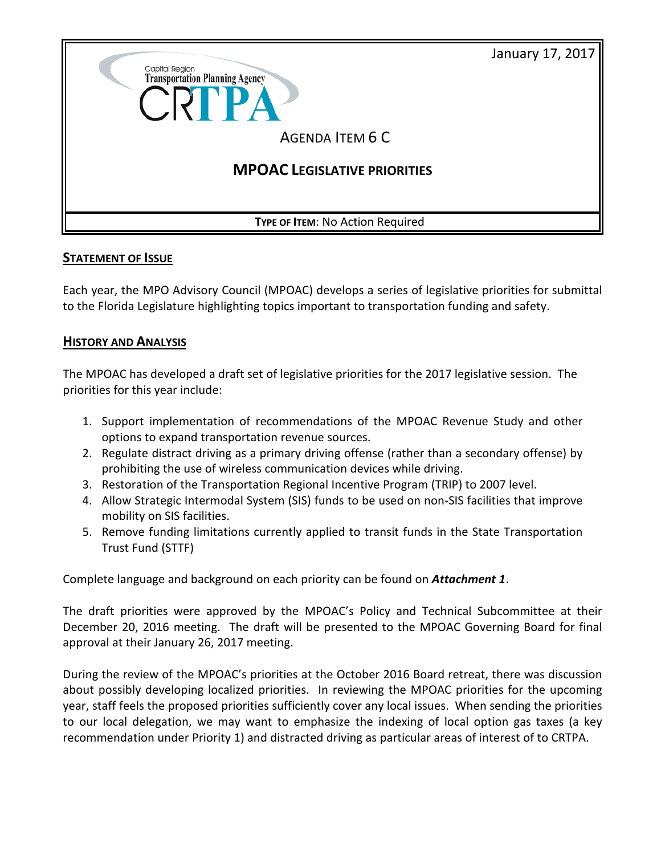January 17, 2017



## **STATEMENT OF ISSUE**

Each year, the MPO Advisory Council (MPOAC) develops a series of legislative priorities for submittal to the Florida Legislature highlighting topics important to transportation funding and safety.

## **HISTORY AND ANALYSIS**

The MPOAC has developed a draft set of legislative priorities for the 2017 legislative session. The priorities for this year include:

- 1. Support implementation of recommendations of the MPOAC Revenue Study and other options to expand transportation revenue sources.
- 2. Regulate distract driving as a primary driving offense (rather than a secondary offense) by prohibiting the use of wireless communication devices while driving.
- 3. Restoration of the Transportation Regional Incentive Program (TRIP) to 2007 level.
- 4. Allow Strategic Intermodal System (SIS) funds to be used on non-SIS facilities that improve mobility on SIS facilities.
- 5. Remove funding limitations currently applied to transit funds in the State Transportation Trust Fund (STTF)

Complete language and background on each priority can be found on *Attachment 1*.

The draft priorities were approved by the MPOAC's Policy and Technical Subcommittee at their December 20, 2016 meeting. The draft will be presented to the MPOAC Governing Board for final approval at their January 26, 2017 meeting.

During the review of the MPOAC's priorities at the October 2016 Board retreat, there was discussion about possibly developing localized priorities. In reviewing the MPOAC priorities for the upcoming year, staff feels the proposed priorities sufficiently cover any local issues. When sending the priorities to our local delegation, we may want to emphasize the indexing of local option gas taxes (a key recommendation under Priority 1) and distracted driving as particular areas of interest of to CRTPA.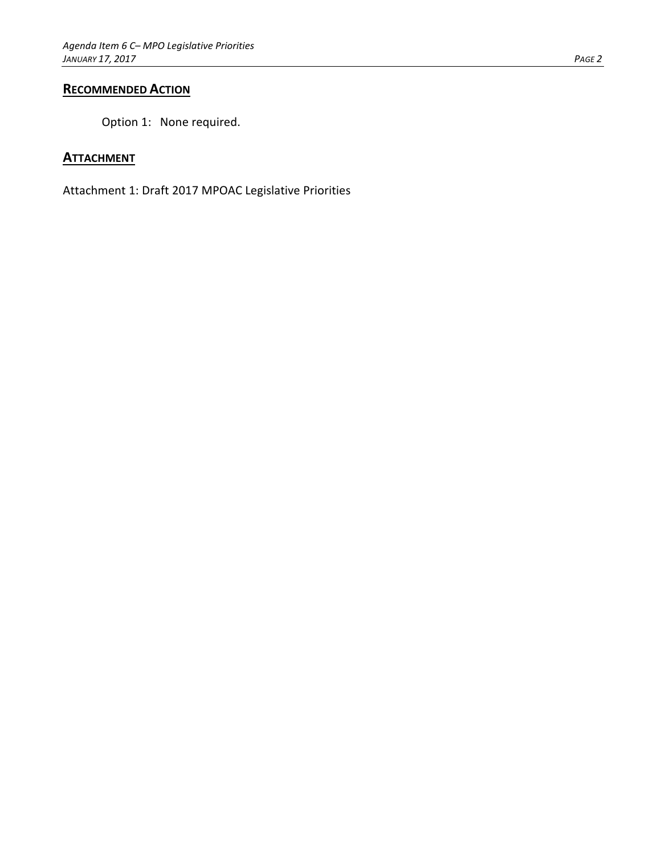## **RECOMMENDED ACTION**

Option 1: None required.

## **ATTACHMENT**

Attachment 1: Draft 2017 MPOAC Legislative Priorities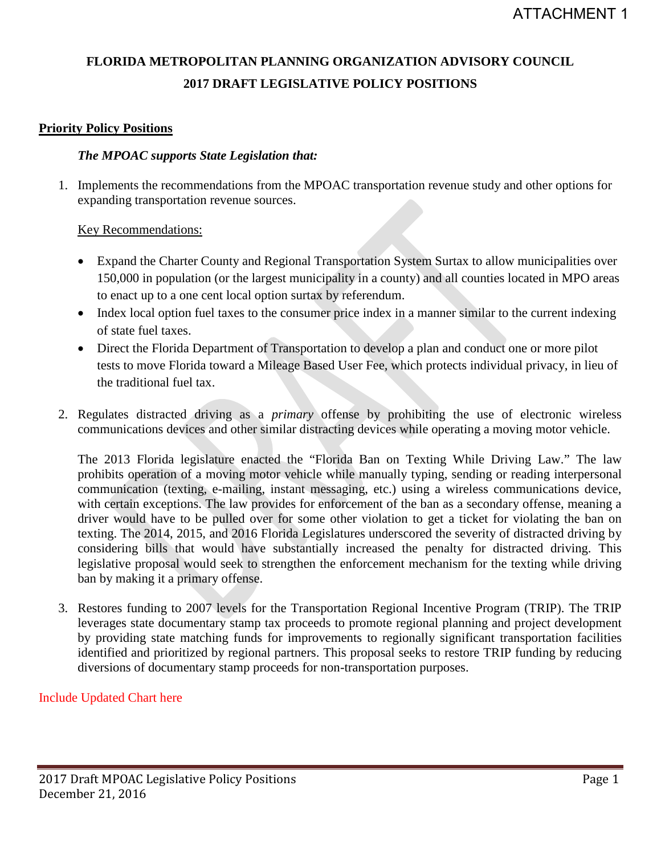# **FLORIDA METROPOLITAN PLANNING ORGANIZATION ADVISORY COUNCIL 2017 DRAFT LEGISLATIVE POLICY POSITIONS**

# **Priority Policy Positions**

## *The MPOAC supports State Legislation that:*

1. Implements the recommendations from the MPOAC transportation revenue study and other options for expanding transportation revenue sources.

# Key Recommendations:

- Expand the Charter County and Regional Transportation System Surtax to allow municipalities over 150,000 in population (or the largest municipality in a county) and all counties located in MPO areas to enact up to a one cent local option surtax by referendum.
- Index local option fuel taxes to the consumer price index in a manner similar to the current indexing of state fuel taxes.
- Direct the Florida Department of Transportation to develop a plan and conduct one or more pilot tests to move Florida toward a Mileage Based User Fee, which protects individual privacy, in lieu of the traditional fuel tax.
- 2. Regulates distracted driving as a *primary* offense by prohibiting the use of electronic wireless communications devices and other similar distracting devices while operating a moving motor vehicle.

The 2013 Florida legislature enacted the "Florida Ban on Texting While Driving Law." The law prohibits operation of a moving motor vehicle while manually typing, sending or reading interpersonal communication (texting, e-mailing, instant messaging, etc.) using a wireless communications device, with certain exceptions. The law provides for enforcement of the ban as a secondary offense, meaning a driver would have to be pulled over for some other violation to get a ticket for violating the ban on texting. The 2014, 2015, and 2016 Florida Legislatures underscored the severity of distracted driving by considering bills that would have substantially increased the penalty for distracted driving. This legislative proposal would seek to strengthen the enforcement mechanism for the texting while driving ban by making it a primary offense.

3. Restores funding to 2007 levels for the Transportation Regional Incentive Program (TRIP). The TRIP leverages state documentary stamp tax proceeds to promote regional planning and project development by providing state matching funds for improvements to regionally significant transportation facilities identified and prioritized by regional partners. This proposal seeks to restore TRIP funding by reducing diversions of documentary stamp proceeds for non-transportation purposes.

# Include Updated Chart here